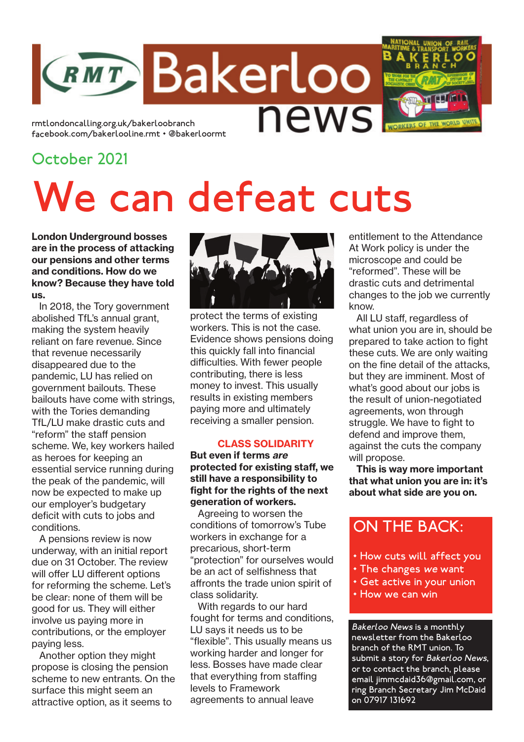

facebook.com/bakerlooline.rmt • @bakerloormt

## October 2021

# We can defeat cuts

London Underground bosses are in the process of attacking our pensions and other terms and conditions. How do we know? Because they have told us.

In 2018, the Tory government abolished TfL's annual grant, making the system heavily reliant on fare revenue. Since that revenue necessarily disappeared due to the pandemic, LU has relied on government bailouts. These bailouts have come with strings, with the Tories demanding TfL/LU make drastic cuts and "reform" the staff pension scheme. We, key workers hailed as heroes for keeping an essential service running during the peak of the pandemic, will now be expected to make up our employer's budgetary deficit with cuts to jobs and conditions.

A pensions review is now underway, with an initial report due on 31 October. The review will offer LU different options for reforming the scheme. Let's be clear: none of them will be good for us. They will either involve us paying more in contributions, or the employer paying less.

Another option they might propose is closing the pension scheme to new entrants. On the surface this might seem an attractive option, as it seems to



protect the terms of existing workers. This is not the case. Evidence shows pensions doing this quickly fall into financial difficulties. With fewer people contributing, there is less money to invest. This usually results in existing members paying more and ultimately receiving a smaller pension.

#### CLASS SOLIDARITY

But even if terms are protected for existing staff, we still have a responsibility to fight for the rights of the next generation of workers.

Agreeing to worsen the conditions of tomorrow's Tube workers in exchange for a precarious, short-term "protection" for ourselves would be an act of selfishness that affronts the trade union spirit of class solidarity.

With regards to our hard fought for terms and conditions, LU says it needs us to be "flexible". This usually means us working harder and longer for less. Bosses have made clear that everything from staffing levels to Framework agreements to annual leave

entitlement to the Attendance At Work policy is under the microscope and could be "reformed". These will be drastic cuts and detrimental changes to the job we currently know.

All LU staff, regardless of what union you are in, should be prepared to take action to fight these cuts. We are only waiting on the fine detail of the attacks, but they are imminent. Most of what's good about our jobs is the result of union-negotiated agreements, won through struggle. We have to fight to defend and improve them, against the cuts the company will propose.

This is way more important that what union you are in: it's about what side are you on.

### ON THE BACK:

- How cuts will affect you
- The changes we want
- Get active in your union
- How we can win

Bakerloo News is a monthly newsletter from the Bakerloo branch of the RMT union. To submit a story for Bakerloo News, or to contact the branch, please email jimmcdaid36@gmail.com, or ring Branch Secretary Jim McDaid on 07917 131692